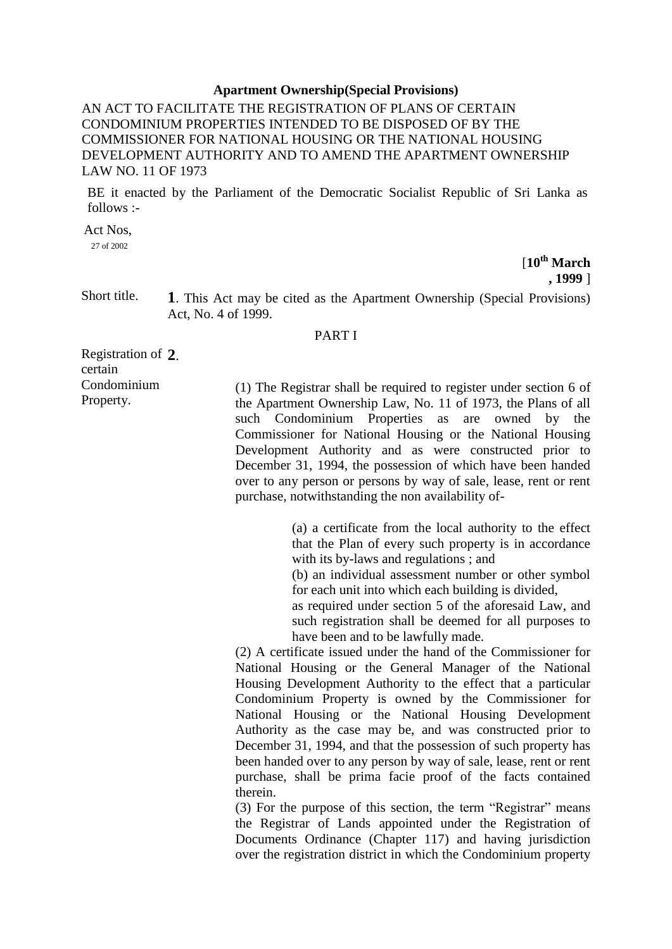## **Apartment Ownership(Special Provisions)**

AN ACT TO FACILITATE THE REGISTRATION OF PLANS OF CERTAIN CONDOMINIUM PROPERTIES INTENDED TO BE DISPOSED OF BY THE COMMISSIONER FOR NATIONAL HOUSING OR THE NATIONAL HOUSING DEVELOPMENT AUTHORITY AND TO AMEND THE APARTMENT OWNERSHIP LAW NO. 11 OF 1973

BE it enacted by the Parliament of the Democratic Socialist Republic of Sri Lanka as follows :-

Act Nos, 27 of 2002

[**10th March , 1999** ]

Short title. **1**. This Act may be cited as the Apartment Ownership (Special Provisions) Act, No. 4 of 1999.

## PART I

Registration of **2**. certain Condominium Property.

(1) The Registrar shall be required to register under section 6 of the Apartment Ownership Law, No. 11 of 1973, the Plans of all such Condominium Properties as are owned by the Commissioner for National Housing or the National Housing Development Authority and as were constructed prior to December 31, 1994, the possession of which have been handed over to any person or persons by way of sale, lease, rent or rent purchase, notwithstanding the non availability of-

> (a) a certificate from the local authority to the effect that the Plan of every such property is in accordance with its by-laws and regulations ; and

> (b) an individual assessment number or other symbol for each unit into which each building is divided,

> as required under section 5 of the aforesaid Law, and such registration shall be deemed for all purposes to have been and to be lawfully made.

(2) A certificate issued under the hand of the Commissioner for National Housing or the General Manager of the National Housing Development Authority to the effect that a particular Condominium Property is owned by the Commissioner for National Housing or the National Housing Development Authority as the case may be, and was constructed prior to December 31, 1994, and that the possession of such property has been handed over to any person by way of sale, lease, rent or rent purchase, shall be prima facie proof of the facts contained therein.

(3) For the purpose of this section, the term "Registrar" means the Registrar of Lands appointed under the Registration of Documents Ordinance (Chapter 117) and having jurisdiction over the registration district in which the Condominium property